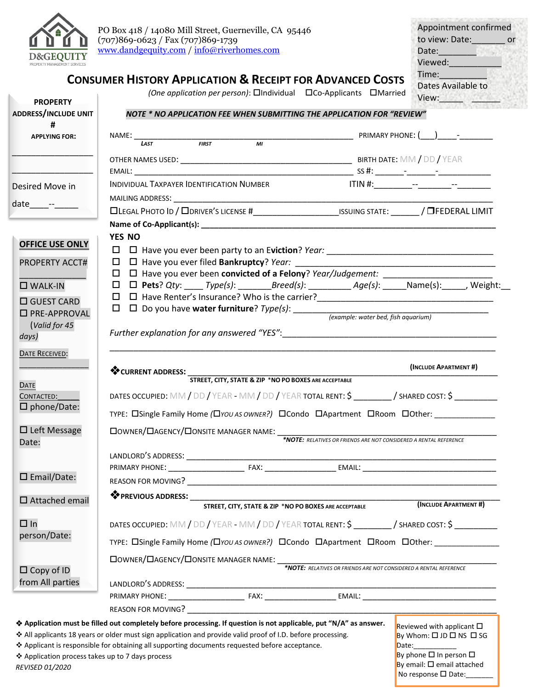

**PROPERTY**

| to view: Date:     | Appointment confirmed<br>or |
|--------------------|-----------------------------|
|                    |                             |
| Date:              |                             |
| Viewed:            |                             |
| Time:              |                             |
| Dates Available to |                             |
| View:              |                             |

By email:  $\square$  email attached No response  $\square$  Date:

## **CONSUMER HISTORY APPLICATION & RECEIPT FOR ADVANCED COSTS**

*(One application per person)*: □Individual □Co-Applicants □Married

| <b>PROPERIT</b><br><b>ADDRESS/INCLUDE UNIT</b>   | NOTE * NO APPLICATION FEE WHEN SUBMITTING THE APPLICATION FOR "REVIEW"                                                                                                                                                         |                                                                   | <b>The Company of the Second State</b>                                      |  |
|--------------------------------------------------|--------------------------------------------------------------------------------------------------------------------------------------------------------------------------------------------------------------------------------|-------------------------------------------------------------------|-----------------------------------------------------------------------------|--|
| #<br><b>APPLYING FOR:</b>                        |                                                                                                                                                                                                                                |                                                                   |                                                                             |  |
|                                                  | NAME: $\frac{1}{\sqrt{145}}$ FIRST FIRST MI                                                                                                                                                                                    |                                                                   |                                                                             |  |
|                                                  |                                                                                                                                                                                                                                |                                                                   |                                                                             |  |
|                                                  |                                                                                                                                                                                                                                |                                                                   |                                                                             |  |
| Desired Move in                                  | INDIVIDUAL TAXPAYER IDENTIFICATION NUMBER                                                                                                                                                                                      |                                                                   |                                                                             |  |
|                                                  |                                                                                                                                                                                                                                |                                                                   |                                                                             |  |
| date_____- <sup>__</sup> ______                  |                                                                                                                                                                                                                                |                                                                   |                                                                             |  |
|                                                  |                                                                                                                                                                                                                                |                                                                   |                                                                             |  |
|                                                  | YES NO                                                                                                                                                                                                                         |                                                                   |                                                                             |  |
| <b>OFFICE USE ONLY</b>                           |                                                                                                                                                                                                                                |                                                                   |                                                                             |  |
| <b>PROPERTY ACCT#</b>                            |                                                                                                                                                                                                                                |                                                                   |                                                                             |  |
|                                                  | □ □ Have you ever been convicted of a Felony? Year/Judgement: __________________                                                                                                                                               |                                                                   |                                                                             |  |
| $\square$ WALK-IN                                | $\Box$ <b>D</b> Pets? Qty: ____ Type(s): ________Breed(s): ____________ Age(s): ______Name(s): ______, Weight:                                                                                                                 |                                                                   |                                                                             |  |
| □ GUEST CARD                                     | 口 口 Have Renter's Insurance? Who is the carrier?_________________________________                                                                                                                                              |                                                                   |                                                                             |  |
| □ PRE-APPROVAL                                   |                                                                                                                                                                                                                                |                                                                   |                                                                             |  |
| (Valid for 45                                    |                                                                                                                                                                                                                                |                                                                   |                                                                             |  |
| days)                                            | Further explanation for any answered "YES": North and the set of the set of the set of the set of the set of the set of the set of the set of the set of the set of the set of the set of the set of the set of the set of the |                                                                   |                                                                             |  |
| <b>DATE RECEIVED:</b>                            |                                                                                                                                                                                                                                |                                                                   |                                                                             |  |
|                                                  |                                                                                                                                                                                                                                |                                                                   | (INCLUDE APARTMENT #)                                                       |  |
|                                                  | CURRENT ADDRESS: STREET, CITY, STATE & ZIP *NO PO BOXES ARE ACCEPTABLE                                                                                                                                                         |                                                                   |                                                                             |  |
| <b>DATE</b>                                      | DATES OCCUPIED: MM / DD / YEAR - MM / DD / YEAR TOTAL RENT: \$ __________/ SHARED COST: \$                                                                                                                                     |                                                                   |                                                                             |  |
| CONTACTED:<br>$\square$ phone/Date:              |                                                                                                                                                                                                                                |                                                                   |                                                                             |  |
|                                                  | TYPE: OSingle Family Home (OYOU AS OWNER?) OCondo DApartment ORoom OOther:                                                                                                                                                     |                                                                   |                                                                             |  |
| $\Box$ Left Message                              |                                                                                                                                                                                                                                |                                                                   |                                                                             |  |
| Date:                                            | $\textbf{Downer/}\textbf{L}\textbf{AGENCY/}\textbf{D} \textbf{ONSITE} \text{ MANAGER NAME:}\textcolor{red}{\overbrace{\textbf{0.17}}\textbf{P10TE: RELATIVES OR FRIENDS ARE NOT CONSIDERED A RENTAL REFERENCE}}$               |                                                                   |                                                                             |  |
|                                                  |                                                                                                                                                                                                                                |                                                                   |                                                                             |  |
|                                                  |                                                                                                                                                                                                                                |                                                                   |                                                                             |  |
| $\square$ Email/Date:                            |                                                                                                                                                                                                                                |                                                                   |                                                                             |  |
|                                                  | <b><sup>◆</sup> PREVIOUS ADDRESS:</b>                                                                                                                                                                                          |                                                                   |                                                                             |  |
| $\square$ Attached email                         |                                                                                                                                                                                                                                | STREET, CITY, STATE & ZIP *NO PO BOXES ARE ACCEPTABLE             | (INCLUDE APARTMENT #)                                                       |  |
| $\Box$ In                                        |                                                                                                                                                                                                                                |                                                                   |                                                                             |  |
|                                                  | DATES OCCUPIED: MM / DD / YEAR - MM / DD / YEAR TOTAL RENT: \$ / SHARED COST: \$                                                                                                                                               |                                                                   |                                                                             |  |
| person/Date:                                     | TYPE: Consingle Family Home (CIYOU AS OWNER?) COndo CApartment CIRoom Clother:                                                                                                                                                 |                                                                   |                                                                             |  |
|                                                  | □ OWNER/□ AGENCY/□ ONSITE MANAGER NAME: ____                                                                                                                                                                                   |                                                                   |                                                                             |  |
| $\Box$ Copy of ID                                |                                                                                                                                                                                                                                | *NOTE: RELATIVES OR FRIENDS ARE NOT CONSIDERED A RENTAL REFERENCE |                                                                             |  |
| from All parties                                 |                                                                                                                                                                                                                                |                                                                   |                                                                             |  |
|                                                  |                                                                                                                                                                                                                                |                                                                   |                                                                             |  |
|                                                  |                                                                                                                                                                                                                                |                                                                   |                                                                             |  |
|                                                  | ◆ Application must be filled out completely before processing. If question is not applicable, put "N/A" as answer.                                                                                                             |                                                                   |                                                                             |  |
|                                                  | ❖ All applicants 18 years or older must sign application and provide valid proof of I.D. before processing.                                                                                                                    |                                                                   | Reviewed with applicant $\square$<br>By Whom: $\Box$ JD $\Box$ NS $\Box$ SG |  |
|                                                  | ❖ Applicant is responsible for obtaining all supporting documents requested before acceptance.                                                                                                                                 |                                                                   | Date: __________                                                            |  |
| ❖ Application process takes up to 7 days process |                                                                                                                                                                                                                                |                                                                   | By phone $\square$ In person $\square$                                      |  |

*REVISED 01/2020*